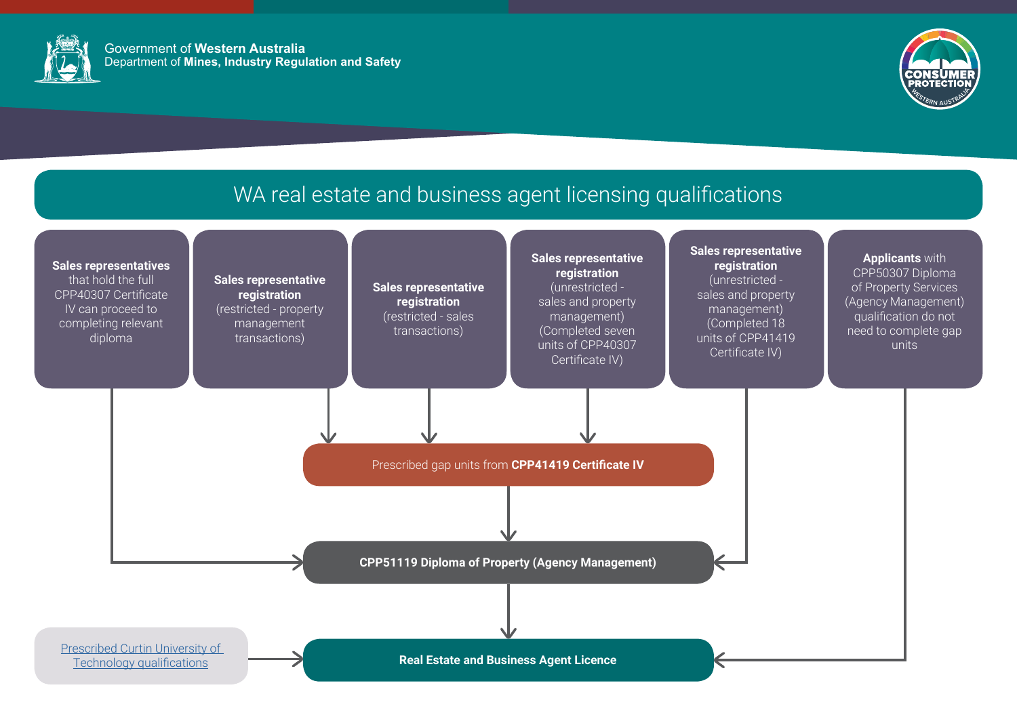### **Sales representative** registration

(unrestricted sales and property management) (Completed 18 units of CPP41419 Certificate IV)

#### Sales representative<br>registration Sales representative (unrestricted registration sales and property (restricted - sales management) transactions) (Completed seven units of CPP40307

Certificate IV)

### Sales representative registration (restricted - property management transactions)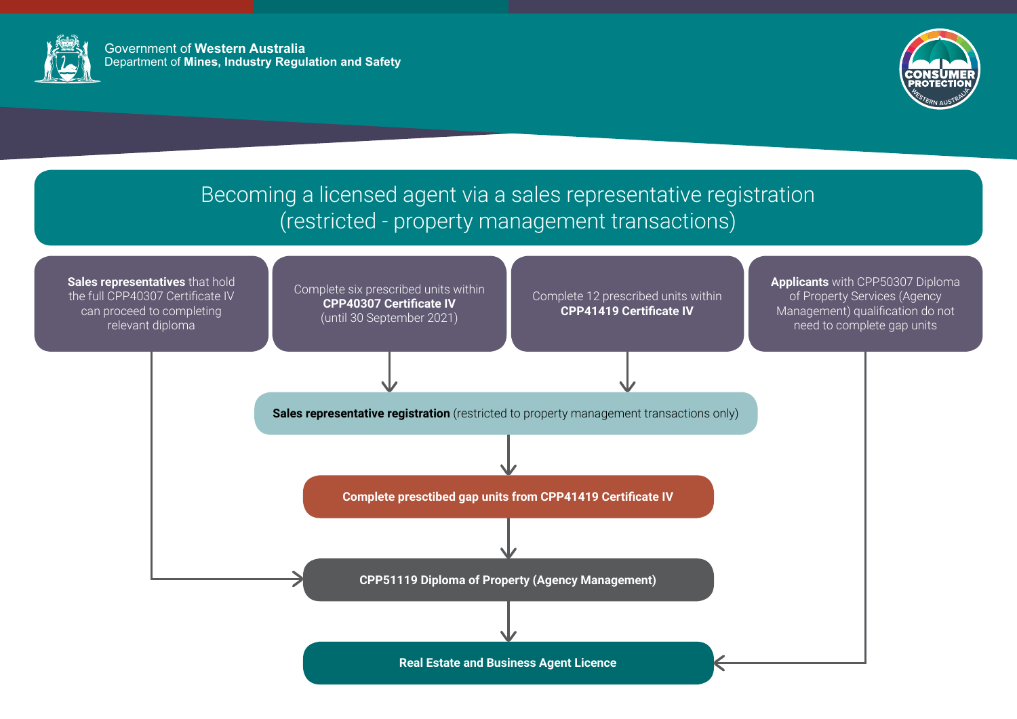



# Becoming a licensed agent via a sales representative registration (restricted - property management transactions)

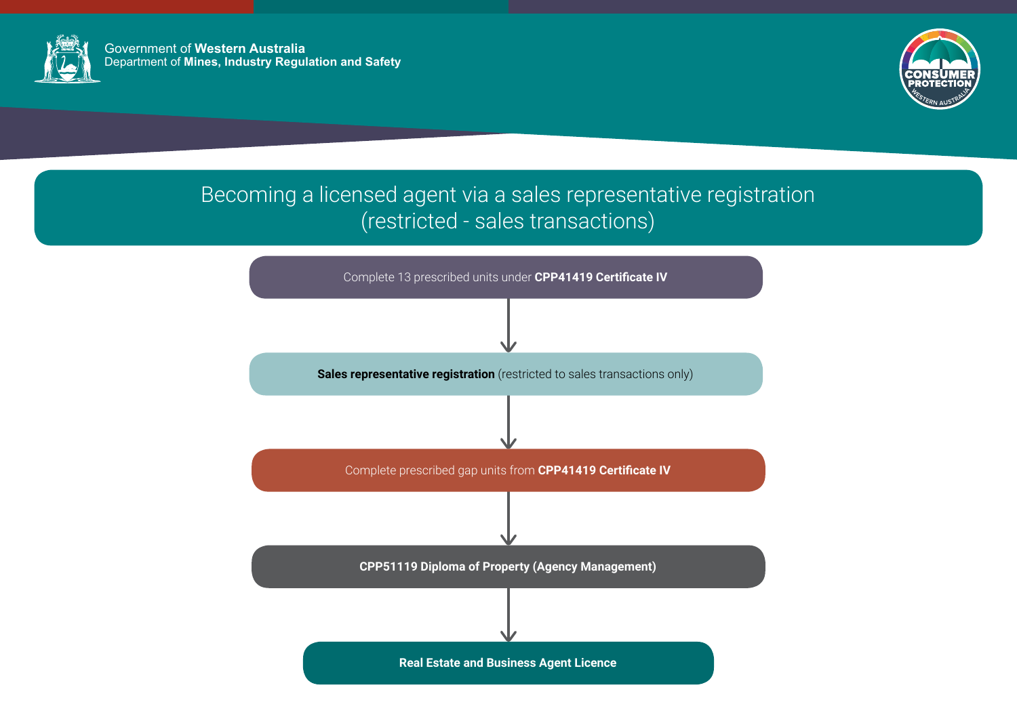

Government of **Western Australia** Department of **Mines, Industry Regulation and Safety**



# Becoming a licensed agent via a sales representative registration (restricted - sales transactions)